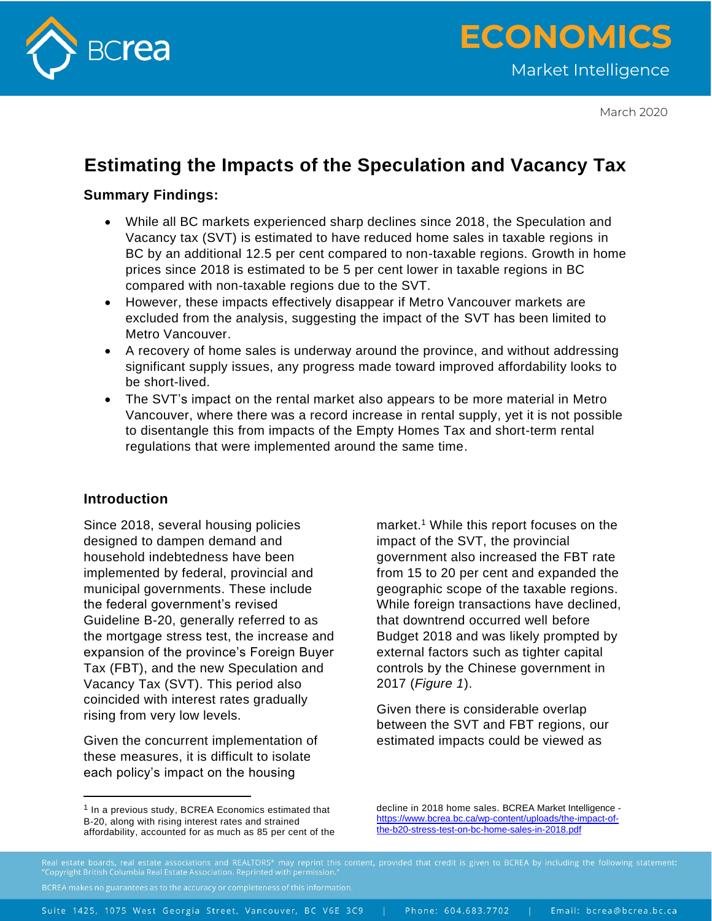

March 2020

# **Estimating the Impacts of the Speculation and Vacancy Tax**

# **Summary Findings:**

- While all BC markets experienced sharp declines since 2018, the Speculation and Vacancy tax (SVT) is estimated to have reduced home sales in taxable regions in BC by an additional 12.5 per cent compared to non-taxable regions. Growth in home prices since 2018 is estimated to be 5 per cent lower in taxable regions in BC compared with non-taxable regions due to the SVT.
- However, these impacts effectively disappear if Metro Vancouver markets are excluded from the analysis, suggesting the impact of the SVT has been limited to Metro Vancouver.
- A recovery of home sales is underway around the province, and without addressing significant supply issues, any progress made toward improved affordability looks to be short-lived.
- The SVT's impact on the rental market also appears to be more material in Metro Vancouver, where there was a record increase in rental supply, yet it is not possible to disentangle this from impacts of the Empty Homes Tax and short-term rental regulations that were implemented around the same time.

# **Introduction**

Since 2018, several housing policies designed to dampen demand and household indebtedness have been implemented by federal, provincial and municipal governments. These include the federal government's revised Guideline B-20, generally referred to as the mortgage stress test, the increase and expansion of the province's Foreign Buyer Tax (FBT), and the new Speculation and Vacancy Tax (SVT). This period also coincided with interest rates gradually rising from very low levels.

Given the concurrent implementation of these measures, it is difficult to isolate each policy's impact on the housing

<sup>1</sup> In a previous study, BCREA Economics estimated that B-20, along with rising interest rates and strained affordability, accounted for as much as 85 per cent of the

market. <sup>1</sup> While this report focuses on the impact of the SVT, the provincial government also increased the FBT rate from 15 to 20 per cent and expanded the geographic scope of the taxable regions. While foreign transactions have declined. that downtrend occurred well before Budget 2018 and was likely prompted by external factors such as tighter capital controls by the Chinese government in 2017 (*Figure 1*).

Given there is considerable overlap between the SVT and FBT regions, our estimated impacts could be viewed as

decline in 2018 home sales. BCREA Market Intelligence [https://www.bcrea.bc.ca/wp-content/uploads/the-impact-of](https://www.bcrea.bc.ca/wp-content/uploads/the-impact-of-the-b20-stress-test-on-bc-home-sales-in-2018.pdf)[the-b20-stress-test-on-bc-home-sales-in-2018.pdf](https://www.bcrea.bc.ca/wp-content/uploads/the-impact-of-the-b20-stress-test-on-bc-home-sales-in-2018.pdf)

BCREA makes no guarantees as to the accuracy or completeness of this information.

Suite 1425, 1075 West Georgia Street, Vancouver, BC V6E 3C9 Phone: 604.683.7702

Email: bcrea@bcrea.bc.ca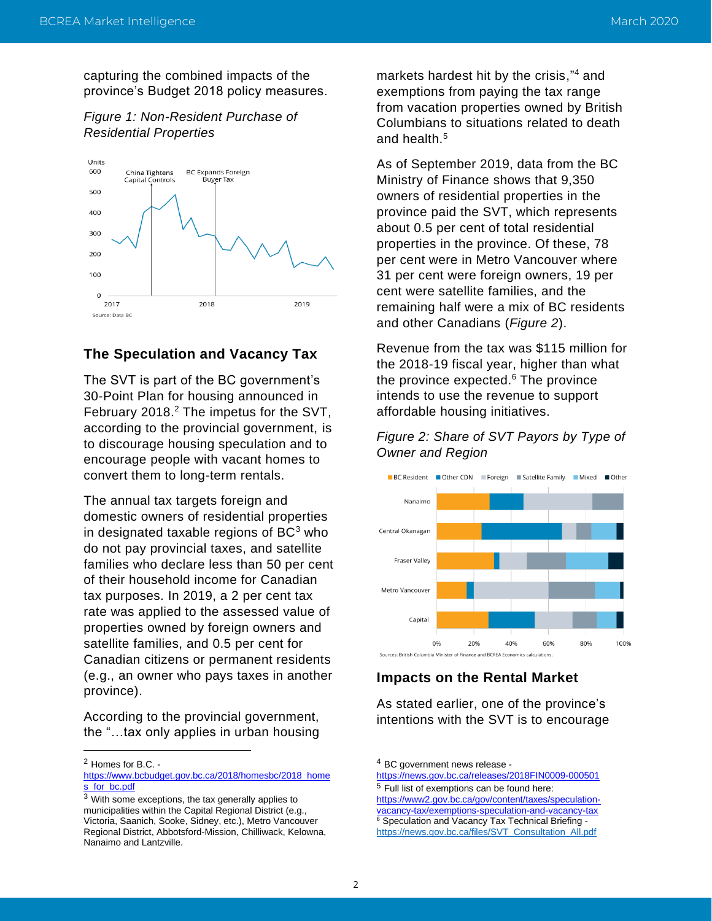capturing the combined impacts of the province's Budget 2018 policy measures.

#### *Figure 1: Non-Resident Purchase of Residential Properties*



# **The Speculation and Vacancy Tax**

The SVT is part of the BC government's 30-Point Plan for housing announced in February 2018.<sup>2</sup> The impetus for the SVT, according to the provincial government, is to discourage housing speculation and to encourage people with vacant homes to convert them to long-term rentals.

The annual tax targets foreign and domestic owners of residential properties in designated taxable regions of  $BC<sup>3</sup>$  who do not pay provincial taxes, and satellite families who declare less than 50 per cent of their household income for Canadian tax purposes. In 2019, a 2 per cent tax rate was applied to the assessed value of properties owned by foreign owners and satellite families, and 0.5 per cent for Canadian citizens or permanent residents (e.g., an owner who pays taxes in another province).

According to the provincial government, the "…tax only applies in urban housing

<sup>2</sup> Homes for B.C. -

markets hardest hit by the crisis," <sup>4</sup> and exemptions from paying the tax range from vacation properties owned by British Columbians to situations related to death and health. $^5\,$ 

As of September 2019, data from the BC Ministry of Finance shows that 9,350 owners of residential properties in the province paid the SVT, which represents about 0.5 per cent of total residential properties in the province. Of these, 78 per cent were in Metro Vancouver where 31 per cent were foreign owners, 19 per cent were satellite families, and the remaining half were a mix of BC residents and other Canadians (*Figure 2*).

Revenue from the tax was \$115 million for the 2018-19 fiscal year, higher than what the province expected. <sup>6</sup> The province intends to use the revenue to support affordable housing initiatives.

## *Figure 2: Share of SVT Payors by Type of Owner and Region*



# **Impacts on the Rental Market**

As stated earlier, one of the province's intentions with the SVT is to encourage

[https://www.bcbudget.gov.bc.ca/2018/homesbc/2018\\_home](https://www.bcbudget.gov.bc.ca/2018/homesbc/2018_homes_for_bc.pdf) [s\\_for\\_bc.pdf](https://www.bcbudget.gov.bc.ca/2018/homesbc/2018_homes_for_bc.pdf)

<sup>3</sup> With some exceptions, the tax generally applies to municipalities within the Capital Regional District (e.g., Victoria, Saanich, Sooke, Sidney, etc.), Metro Vancouver Regional District, Abbotsford-Mission, Chilliwack, Kelowna, Nanaimo and Lantzville.

<sup>4</sup> BC government news release -

<https://news.gov.bc.ca/releases/2018FIN0009-000501>  $5$  Full list of exemptions can be found here:

[https://www2.gov.bc.ca/gov/content/taxes/speculation](https://www2.gov.bc.ca/gov/content/taxes/speculation-vacancy-tax/exemptions-speculation-and-vacancy-tax)[vacancy-tax/exemptions-speculation-and-vacancy-tax](https://www2.gov.bc.ca/gov/content/taxes/speculation-vacancy-tax/exemptions-speculation-and-vacancy-tax) <sup>6</sup> Speculation and Vacancy Tax Technical Briefing [https://news.gov.bc.ca/files/SVT\\_Consultation\\_All.pdf](https://news.gov.bc.ca/files/SVT_Consultation_All.pdf)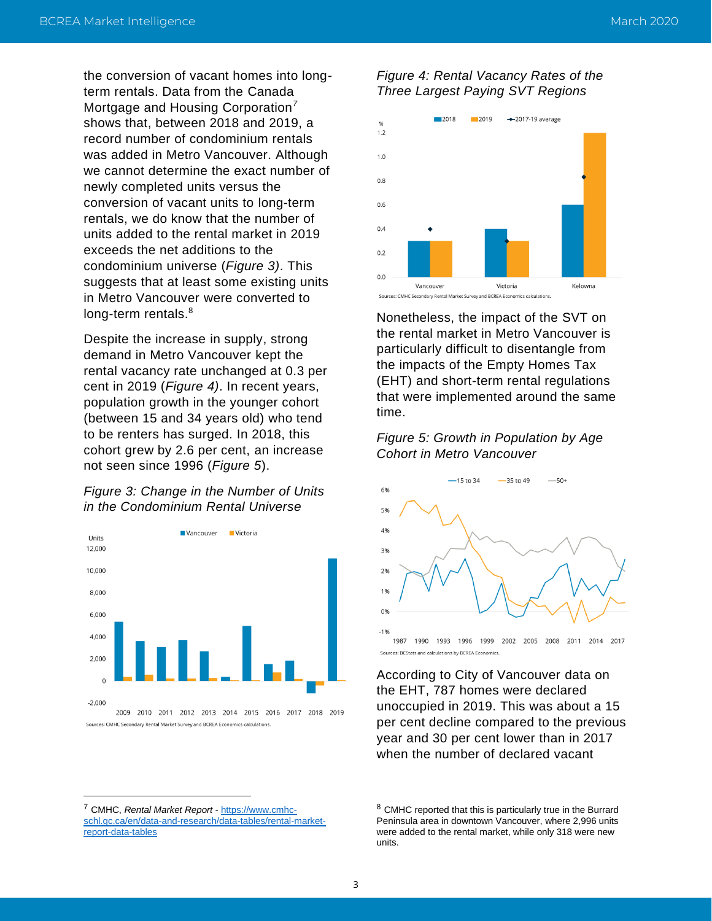the conversion of vacant homes into longterm rentals. Data from the Canada Mortgage and Housing Corporation*<sup>7</sup>* shows that, between 2018 and 2019, a record number of condominium rentals was added in Metro Vancouver. Although we cannot determine the exact number of newly completed units versus the conversion of vacant units to long-term rentals, we do know that the number of units added to the rental market in 2019 exceeds the net additions to the condominium universe (*Figure 3)*. This suggests that at least some existing units in Metro Vancouver were converted to long-term rentals.<sup>8</sup>

Despite the increase in supply, strong demand in Metro Vancouver kept the rental vacancy rate unchanged at 0.3 per cent in 2019 (*Figure 4)*. In recent years, population growth in the younger cohort (between 15 and 34 years old) who tend to be renters has surged. In 2018, this cohort grew by 2.6 per cent, an increase not seen since 1996 (*Figure 5*).

#### *Figure 3: Change in the Number of Units in the Condominium Rental Universe*



<sup>7</sup> CMHC, *Rental Market Report -* [https://www.cmhc](https://www.cmhc-schl.gc.ca/en/data-and-research/data-tables/rental-market-report-data-tables)[schl.gc.ca/en/data-and-research/data-tables/rental-market](https://www.cmhc-schl.gc.ca/en/data-and-research/data-tables/rental-market-report-data-tables)[report-data-tables](https://www.cmhc-schl.gc.ca/en/data-and-research/data-tables/rental-market-report-data-tables)

### *Figure 4: Rental Vacancy Rates of the Three Largest Paying SVT Regions*



Nonetheless, the impact of the SVT on the rental market in Metro Vancouver is particularly difficult to disentangle from the impacts of the Empty Homes Tax (EHT) and short-term rental regulations that were implemented around the same time.

## *Figure 5: Growth in Population by Age Cohort in Metro Vancouver*



According to City of Vancouver data on the EHT, 787 homes were declared unoccupied in 2019. This was about a 15 per cent decline compared to the previous year and 30 per cent lower than in 2017 when the number of declared vacant

<sup>&</sup>lt;sup>8</sup> CMHC reported that this is particularly true in the Burrard Peninsula area in downtown Vancouver, where 2,996 units were added to the rental market, while only 318 were new units.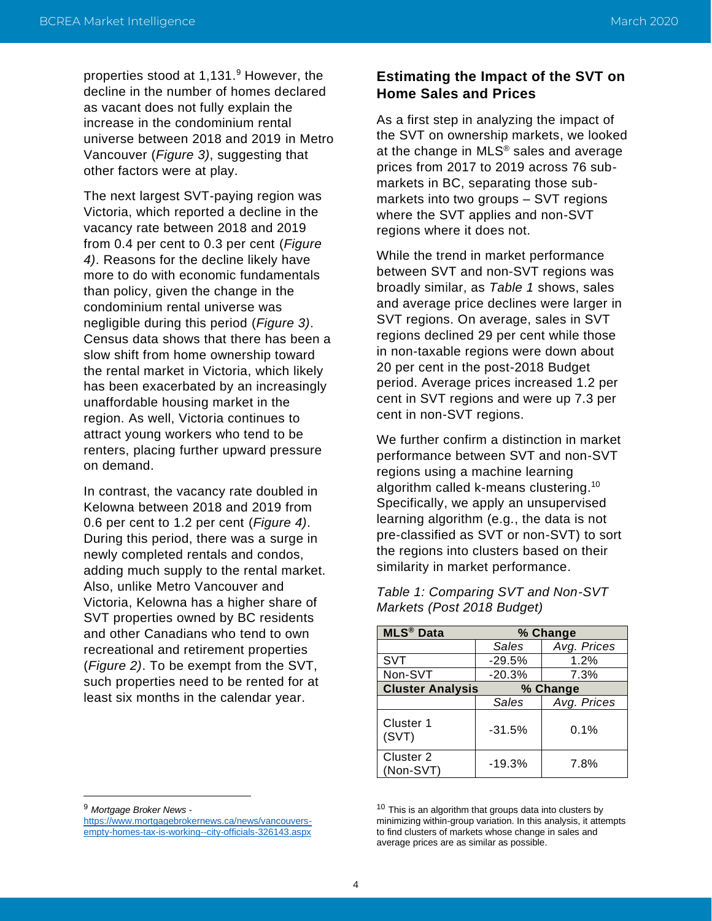properties stood at 1,131. <sup>9</sup> However, the decline in the number of homes declared as vacant does not fully explain the increase in the condominium rental universe between 2018 and 2019 in Metro Vancouver (*Figure 3)*, suggesting that other factors were at play.

The next largest SVT-paying region was Victoria, which reported a decline in the vacancy rate between 2018 and 2019 from 0.4 per cent to 0.3 per cent (*Figure 4)*. Reasons for the decline likely have more to do with economic fundamentals than policy, given the change in the condominium rental universe was negligible during this period (*Figure 3)*. Census data shows that there has been a slow shift from home ownership toward the rental market in Victoria, which likely has been exacerbated by an increasingly unaffordable housing market in the region. As well, Victoria continues to attract young workers who tend to be renters, placing further upward pressure on demand.

In contrast, the vacancy rate doubled in Kelowna between 2018 and 2019 from 0.6 per cent to 1.2 per cent (*Figure 4)*. During this period, there was a surge in newly completed rentals and condos, adding much supply to the rental market. Also, unlike Metro Vancouver and Victoria, Kelowna has a higher share of SVT properties owned by BC residents and other Canadians who tend to own recreational and retirement properties (*Figure 2)*. To be exempt from the SVT, such properties need to be rented for at least six months in the calendar year.

# **Estimating the Impact of the SVT on Home Sales and Prices**

As a first step in analyzing the impact of the SVT on ownership markets, we looked at the change in MLS<sup>®</sup> sales and average prices from 2017 to 2019 across 76 submarkets in BC, separating those submarkets into two groups – SVT regions where the SVT applies and non-SVT regions where it does not.

While the trend in market performance between SVT and non-SVT regions was broadly similar, as *Table 1* shows, sales and average price declines were larger in SVT regions. On average, sales in SVT regions declined 29 per cent while those in non-taxable regions were down about 20 per cent in the post-2018 Budget period. Average prices increased 1.2 per cent in SVT regions and were up 7.3 per cent in non-SVT regions.

We further confirm a distinction in market performance between SVT and non-SVT regions using a machine learning algorithm called k-means clustering.<sup>10</sup> Specifically, we apply an unsupervised learning algorithm (e.g., the data is not pre-classified as SVT or non-SVT) to sort the regions into clusters based on their similarity in market performance.

| Maikels (Fost Zu io Duugel) |          |             |  |  |  |
|-----------------------------|----------|-------------|--|--|--|
| <b>MLS<sup>®</sup> Data</b> |          | % Change    |  |  |  |
|                             | Sales    | Avg. Prices |  |  |  |
| <b>SVT</b>                  | $-29.5%$ | 1.2%        |  |  |  |
| Non-SVT                     | $-20.3%$ | 7.3%        |  |  |  |
| <b>Cluster Analysis</b>     |          | % Change    |  |  |  |

 $(SVT)$   $-31.5%$  0.1%

 $(Non-SVT)$  -19.3% 7.8%

*Sales Avg. Prices*

## *Table 1: Comparing SVT and Non-SVT Markets (Post 2018 Budget)*

<sup>9</sup> *Mortgage Broker News* -

Cluster 1

Cluster 2

[https://www.mortgagebrokernews.ca/news/vancouvers](https://www.mortgagebrokernews.ca/news/vancouvers-empty-homes-tax-is-working--city-officials-326143.aspx)[empty-homes-tax-is-working--city-officials-326143.aspx](https://www.mortgagebrokernews.ca/news/vancouvers-empty-homes-tax-is-working--city-officials-326143.aspx)

 $10$  This is an algorithm that groups data into clusters by minimizing within-group variation. In this analysis, it attempts to find clusters of markets whose change in sales and average prices are as similar as possible.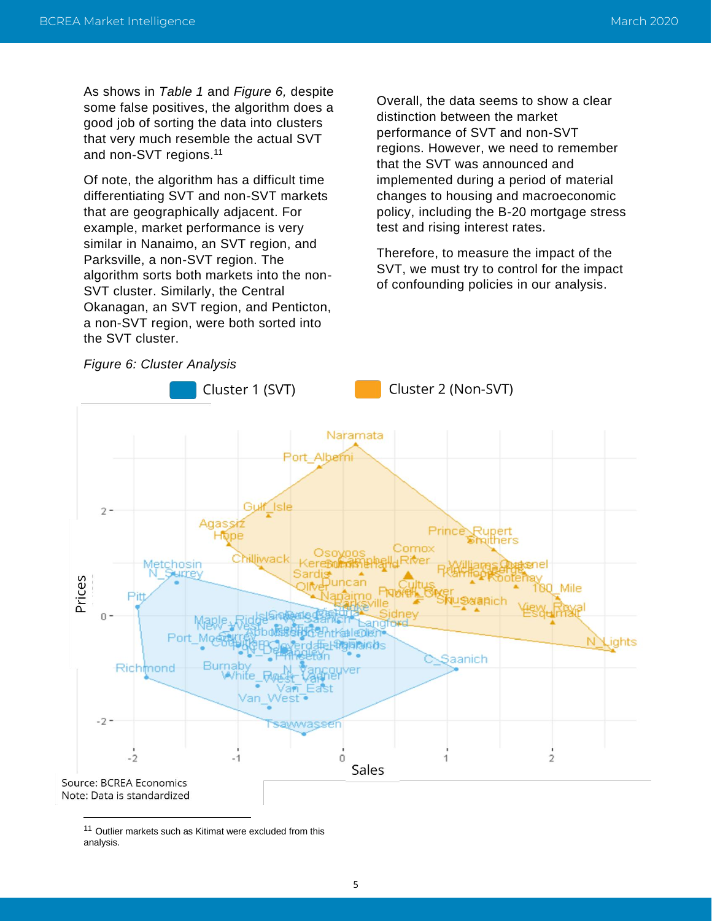As shows in *Table 1* and *Figure 6,* despite some false positives, the algorithm does a good job of sorting the data into clusters that very much resemble the actual SVT and non-SVT regions.<sup>11</sup>

Of note, the algorithm has a difficult time differentiating SVT and non-SVT markets that are geographically adjacent. For example, market performance is very similar in Nanaimo, an SVT region, and Parksville, a non-SVT region. The algorithm sorts both markets into the non-SVT cluster. Similarly, the Central Okanagan, an SVT region, and Penticton, a non-SVT region, were both sorted into the SVT cluster.

Overall, the data seems to show a clear distinction between the market performance of SVT and non-SVT regions. However, we need to remember that the SVT was announced and implemented during a period of material changes to housing and macroeconomic policy, including the B-20 mortgage stress test and rising interest rates.

Therefore, to measure the impact of the SVT, we must try to control for the impact of confounding policies in our analysis.



*Figure 6: Cluster Analysis*

Note: Data is standardized

<sup>&</sup>lt;sup>11</sup> Outlier markets such as Kitimat were excluded from this analysis.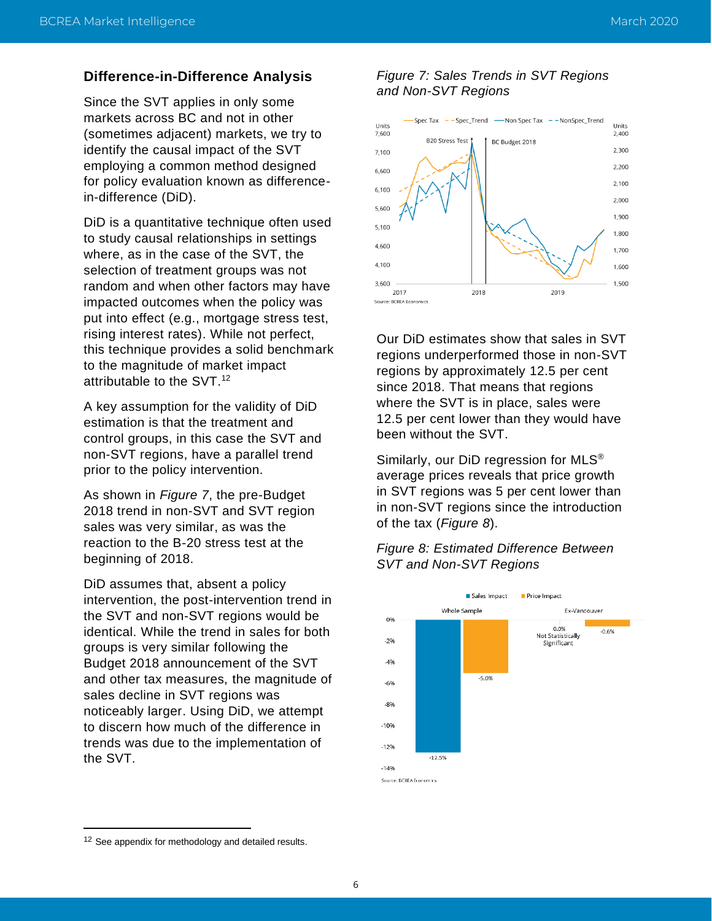#### **Difference-in-Difference Analysis**

Since the SVT applies in only some markets across BC and not in other (sometimes adjacent) markets, we try to identify the causal impact of the SVT employing a common method designed for policy evaluation known as differencein-difference (DiD).

DiD is a quantitative technique often used to study causal relationships in settings where, as in the case of the SVT, the selection of treatment groups was not random and when other factors may have impacted outcomes when the policy was put into effect (e.g., mortgage stress test, rising interest rates). While not perfect, this technique provides a solid benchmark to the magnitude of market impact attributable to the SVT.<sup>12</sup>

A key assumption for the validity of DiD estimation is that the treatment and control groups, in this case the SVT and non-SVT regions, have a parallel trend prior to the policy intervention.

As shown in *Figure 7*, the pre-Budget 2018 trend in non-SVT and SVT region sales was very similar, as was the reaction to the B-20 stress test at the beginning of 2018.

DiD assumes that, absent a policy intervention, the post-intervention trend in the SVT and non-SVT regions would be identical. While the trend in sales for both groups is very similar following the Budget 2018 announcement of the SVT and other tax measures, the magnitude of sales decline in SVT regions was noticeably larger. Using DiD, we attempt to discern how much of the difference in trends was due to the implementation of the SVT.

## *Figure 7: Sales Trends in SVT Regions and Non-SVT Regions*



Our DiD estimates show that sales in SVT regions underperformed those in non-SVT regions by approximately 12.5 per cent since 2018. That means that regions where the SVT is in place, sales were 12.5 per cent lower than they would have been without the SVT.

Similarly, our DiD regression for MLS® average prices reveals that price growth in SVT regions was 5 per cent lower than in non-SVT regions since the introduction of the tax (*Figure 8*).

## *Figure 8: Estimated Difference Between SVT and Non-SVT Regions*



<sup>&</sup>lt;sup>12</sup> See appendix for methodology and detailed results.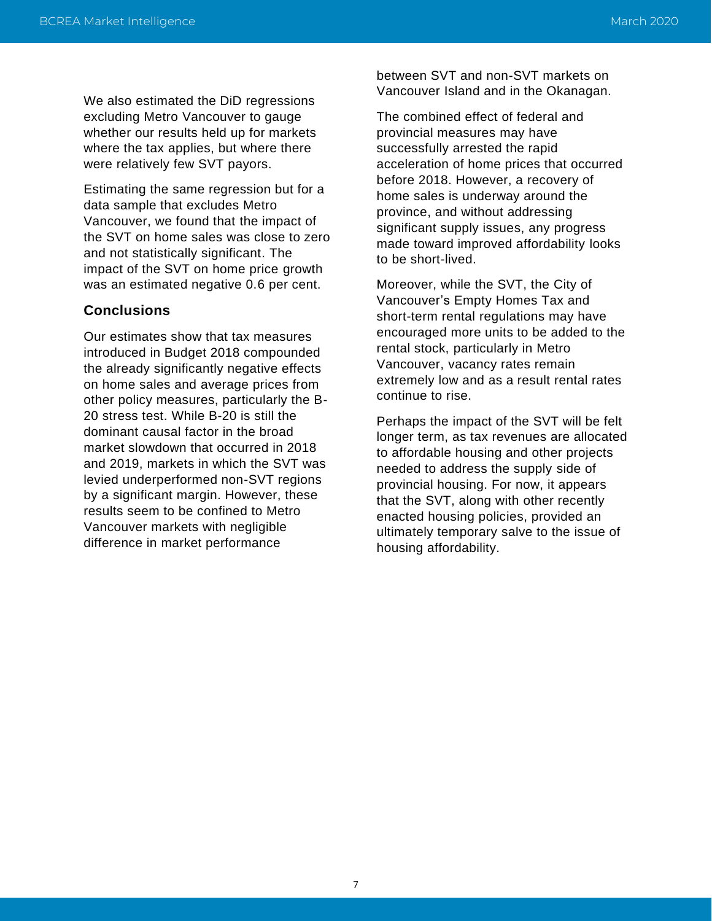We also estimated the DiD regressions excluding Metro Vancouver to gauge whether our results held up for markets where the tax applies, but where there were relatively few SVT payors.

Estimating the same regression but for a data sample that excludes Metro Vancouver, we found that the impact of the SVT on home sales was close to zero and not statistically significant. The impact of the SVT on home price growth was an estimated negative 0.6 per cent.

#### **Conclusions**

Our estimates show that tax measures introduced in Budget 2018 compounded the already significantly negative effects on home sales and average prices from other policy measures, particularly the B-20 stress test. While B-20 is still the dominant causal factor in the broad market slowdown that occurred in 2018 and 2019, markets in which the SVT was levied underperformed non-SVT regions by a significant margin. However, these results seem to be confined to Metro Vancouver markets with negligible difference in market performance

between SVT and non-SVT markets on Vancouver Island and in the Okanagan.

The combined effect of federal and provincial measures may have successfully arrested the rapid acceleration of home prices that occurred before 2018. However, a recovery of home sales is underway around the province, and without addressing significant supply issues, any progress made toward improved affordability looks to be short-lived.

Moreover, while the SVT, the City of Vancouver's Empty Homes Tax and short-term rental regulations may have encouraged more units to be added to the rental stock, particularly in Metro Vancouver, vacancy rates remain extremely low and as a result rental rates continue to rise.

Perhaps the impact of the SVT will be felt longer term, as tax revenues are allocated to affordable housing and other projects needed to address the supply side of provincial housing. For now, it appears that the SVT, along with other recently enacted housing policies, provided an ultimately temporary salve to the issue of housing affordability.